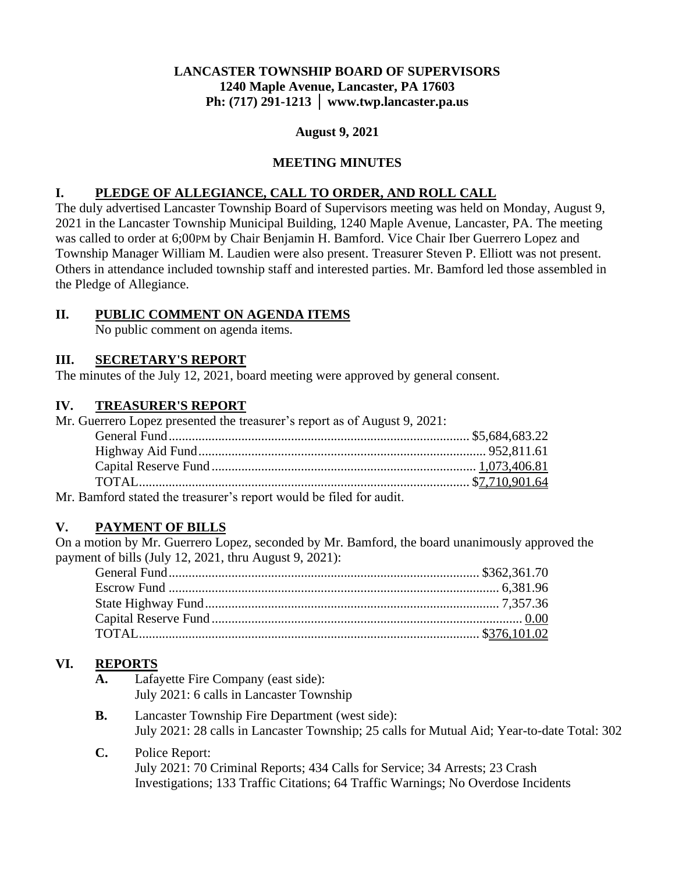## **LANCASTER TOWNSHIP BOARD OF SUPERVISORS 1240 Maple Avenue, Lancaster, PA 17603 Ph: (717) 291-1213 │ www.twp.lancaster.pa.us**

#### **August 9, 2021**

### **MEETING MINUTES**

### **I. PLEDGE OF ALLEGIANCE, CALL TO ORDER, AND ROLL CALL**

The duly advertised Lancaster Township Board of Supervisors meeting was held on Monday, August 9, 2021 in the Lancaster Township Municipal Building, 1240 Maple Avenue, Lancaster, PA. The meeting was called to order at 6;00PM by Chair Benjamin H. Bamford. Vice Chair Iber Guerrero Lopez and Township Manager William M. Laudien were also present. Treasurer Steven P. Elliott was not present. Others in attendance included township staff and interested parties. Mr. Bamford led those assembled in the Pledge of Allegiance.

## **II. PUBLIC COMMENT ON AGENDA ITEMS**

No public comment on agenda items.

### **III. SECRETARY'S REPORT**

The minutes of the July 12, 2021, board meeting were approved by general consent.

#### **IV. TREASURER'S REPORT**

Mr. Guerrero Lopez presented the treasurer's report as of August 9, 2021:

| $\alpha$ and $\alpha$ and $\alpha$ and $\alpha$ and $\alpha$ and $\alpha$ and $\alpha$ and $\alpha$ and $\alpha$ and $\alpha$ and $\alpha$ and $\alpha$ and $\alpha$ and $\alpha$ and $\alpha$ and $\alpha$ and $\alpha$ and $\alpha$ and $\alpha$ and $\alpha$ and $\alpha$ and $\alpha$ and $\alpha$ and $\alpha$ and $\alpha$ |  |
|----------------------------------------------------------------------------------------------------------------------------------------------------------------------------------------------------------------------------------------------------------------------------------------------------------------------------------|--|

Mr. Bamford stated the treasurer's report would be filed for audit.

### **V. PAYMENT OF BILLS**

On a motion by Mr. Guerrero Lopez, seconded by Mr. Bamford, the board unanimously approved the payment of bills (July 12, 2021, thru August 9, 2021):

# **VI. REPORTS**

- **A.** Lafayette Fire Company (east side): July 2021: 6 calls in Lancaster Township
- **B.** Lancaster Township Fire Department (west side): July 2021: 28 calls in Lancaster Township; 25 calls for Mutual Aid; Year-to-date Total: 302
- **C.** Police Report: July 2021: 70 Criminal Reports; 434 Calls for Service; 34 Arrests; 23 Crash Investigations; 133 Traffic Citations; 64 Traffic Warnings; No Overdose Incidents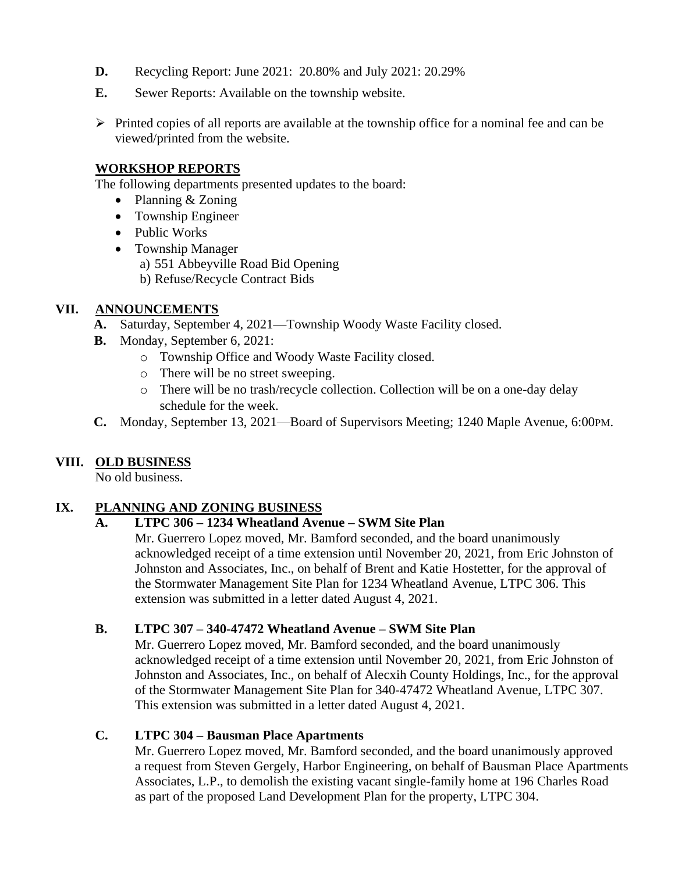- **D.** Recycling Report: June 2021: 20.80% and July 2021: 20.29%
- **E.** Sewer Reports: Available on the township website.
- $\triangleright$  Printed copies of all reports are available at the township office for a nominal fee and can be viewed/printed from the website.

#### **WORKSHOP REPORTS**

The following departments presented updates to the board:

- Planning & Zoning
- Township Engineer
- Public Works
- Township Manager
	- a) 551 Abbeyville Road Bid Opening
	- b) Refuse/Recycle Contract Bids

### **VII. ANNOUNCEMENTS**

- **A.** Saturday, September 4, 2021—Township Woody Waste Facility closed.
	- **B.** Monday, September 6, 2021:
		- o Township Office and Woody Waste Facility closed.
		- o There will be no street sweeping.
		- o There will be no trash/recycle collection. Collection will be on a one-day delay schedule for the week.
	- **C.** Monday, September 13, 2021—Board of Supervisors Meeting; 1240 Maple Avenue, 6:00PM.

# **VIII. OLD BUSINESS**

No old business.

### **IX. PLANNING AND ZONING BUSINESS**

### **A. LTPC 306 – 1234 Wheatland Avenue – SWM Site Plan**

Mr. Guerrero Lopez moved, Mr. Bamford seconded, and the board unanimously acknowledged receipt of a time extension until November 20, 2021, from Eric Johnston of Johnston and Associates, Inc., on behalf of Brent and Katie Hostetter, for the approval of the Stormwater Management Site Plan for 1234 Wheatland Avenue, LTPC 306. This extension was submitted in a letter dated August 4, 2021.

### **B. LTPC 307 – 340-47472 Wheatland Avenue – SWM Site Plan**

Mr. Guerrero Lopez moved, Mr. Bamford seconded, and the board unanimously acknowledged receipt of a time extension until November 20, 2021, from Eric Johnston of Johnston and Associates, Inc., on behalf of Alecxih County Holdings, Inc., for the approval of the Stormwater Management Site Plan for 340-47472 Wheatland Avenue, LTPC 307. This extension was submitted in a letter dated August 4, 2021.

### **C. LTPC 304 – Bausman Place Apartments**

Mr. Guerrero Lopez moved, Mr. Bamford seconded, and the board unanimously approved a request from Steven Gergely, Harbor Engineering, on behalf of Bausman Place Apartments Associates, L.P., to demolish the existing vacant single-family home at 196 Charles Road as part of the proposed Land Development Plan for the property, LTPC 304.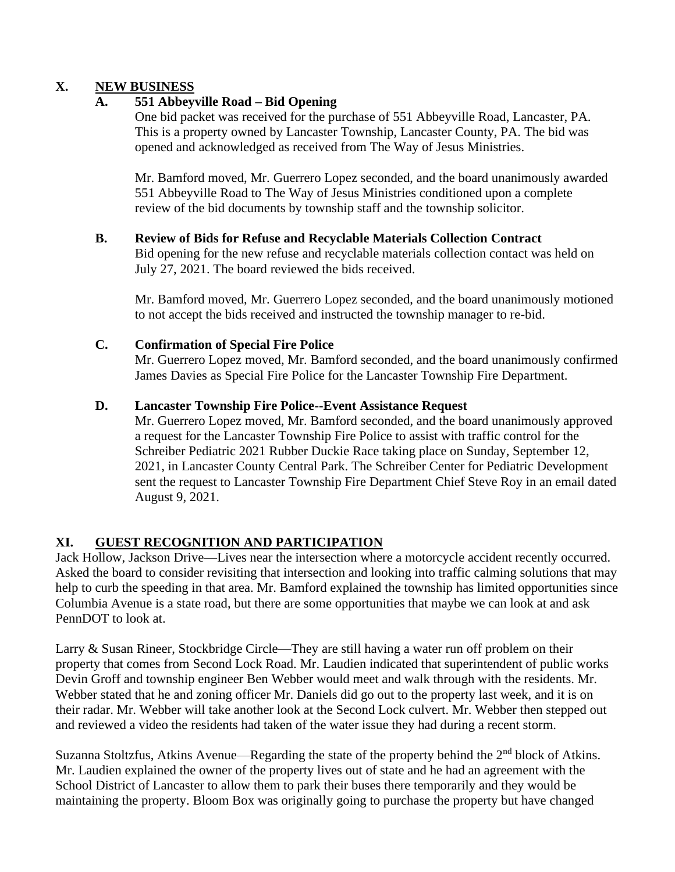### **X. NEW BUSINESS**

## **A. 551 Abbeyville Road – Bid Opening**

One bid packet was received for the purchase of 551 Abbeyville Road, Lancaster, PA. This is a property owned by Lancaster Township, Lancaster County, PA. The bid was opened and acknowledged as received from The Way of Jesus Ministries.

Mr. Bamford moved, Mr. Guerrero Lopez seconded, and the board unanimously awarded 551 Abbeyville Road to The Way of Jesus Ministries conditioned upon a complete review of the bid documents by township staff and the township solicitor.

## **B. Review of Bids for Refuse and Recyclable Materials Collection Contract**

Bid opening for the new refuse and recyclable materials collection contact was held on July 27, 2021. The board reviewed the bids received.

Mr. Bamford moved, Mr. Guerrero Lopez seconded, and the board unanimously motioned to not accept the bids received and instructed the township manager to re-bid.

### **C. Confirmation of Special Fire Police**

Mr. Guerrero Lopez moved, Mr. Bamford seconded, and the board unanimously confirmed James Davies as Special Fire Police for the Lancaster Township Fire Department.

### **D. Lancaster Township Fire Police--Event Assistance Request**

Mr. Guerrero Lopez moved, Mr. Bamford seconded, and the board unanimously approved a request for the Lancaster Township Fire Police to assist with traffic control for the Schreiber Pediatric 2021 Rubber Duckie Race taking place on Sunday, September 12, 2021, in Lancaster County Central Park. The Schreiber Center for Pediatric Development sent the request to Lancaster Township Fire Department Chief Steve Roy in an email dated August 9, 2021.

# **XI. GUEST RECOGNITION AND PARTICIPATION**

Jack Hollow, Jackson Drive—Lives near the intersection where a motorcycle accident recently occurred. Asked the board to consider revisiting that intersection and looking into traffic calming solutions that may help to curb the speeding in that area. Mr. Bamford explained the township has limited opportunities since Columbia Avenue is a state road, but there are some opportunities that maybe we can look at and ask PennDOT to look at.

Larry & Susan Rineer, Stockbridge Circle—They are still having a water run off problem on their property that comes from Second Lock Road. Mr. Laudien indicated that superintendent of public works Devin Groff and township engineer Ben Webber would meet and walk through with the residents. Mr. Webber stated that he and zoning officer Mr. Daniels did go out to the property last week, and it is on their radar. Mr. Webber will take another look at the Second Lock culvert. Mr. Webber then stepped out and reviewed a video the residents had taken of the water issue they had during a recent storm.

Suzanna Stoltzfus, Atkins Avenue—Regarding the state of the property behind the 2<sup>nd</sup> block of Atkins. Mr. Laudien explained the owner of the property lives out of state and he had an agreement with the School District of Lancaster to allow them to park their buses there temporarily and they would be maintaining the property. Bloom Box was originally going to purchase the property but have changed